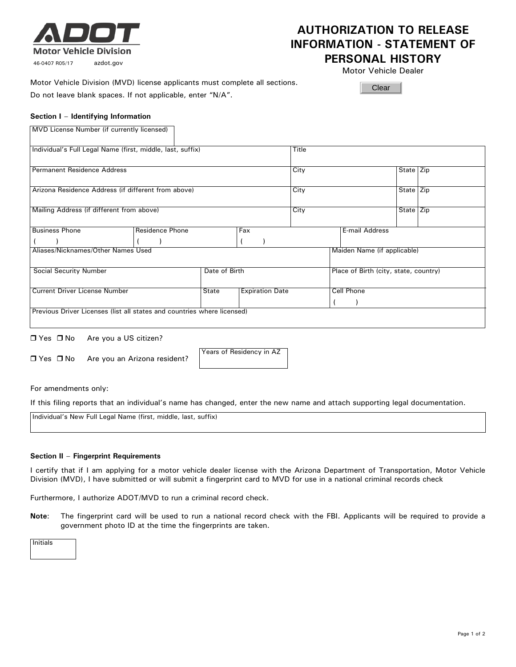

# **AUTHORIZATION TO RELEASE INFORMATION - STATEMENT OF PERSONAL HISTORY**

Motor Vehicle Dealer **Clear** 

Motor Vehicle Division (MVD) license applicants must complete all sections.

Do not leave blank spaces. If not applicable, enter "N/A".

## **Section I** – **Identifying Information**

| MVD License Number (if currently licensed)                              |                               |                                 |  |                |                             |                                       |           |           |
|-------------------------------------------------------------------------|-------------------------------|---------------------------------|--|----------------|-----------------------------|---------------------------------------|-----------|-----------|
| Individual's Full Legal Name (first, middle, last, suffix)              |                               |                                 |  | Title          |                             |                                       |           |           |
| Permanent Residence Address                                             |                               |                                 |  | City           |                             |                                       | State Zip |           |
| Arizona Residence Address (if different from above)                     |                               |                                 |  | City           |                             |                                       | State Zip |           |
| Mailing Address (if different from above)                               |                               |                                 |  | City           |                             |                                       |           | State Zip |
| <b>Business Phone</b>                                                   | <b>Residence Phone</b><br>Fax |                                 |  | E-mail Address |                             |                                       |           |           |
|                                                                         |                               |                                 |  |                |                             |                                       |           |           |
| Aliases/Nicknames/Other Names Used                                      |                               |                                 |  |                | Maiden Name (if applicable) |                                       |           |           |
| <b>Social Security Number</b>                                           |                               | Date of Birth                   |  |                |                             | Place of Birth (city, state, country) |           |           |
| <b>Current Driver License Number</b>                                    |                               | <b>Expiration Date</b><br>State |  | Cell Phone     |                             |                                       |           |           |
|                                                                         |                               |                                 |  |                |                             |                                       |           |           |
| Previous Driver Licenses (list all states and countries where licensed) |                               |                                 |  |                |                             |                                       |           |           |

 $\Box$  Yes  $\Box$  No Are you a US citizen?

□ Yes □ No Are you an Arizona resident?

Years of Residency in AZ

For amendments only:

If this filing reports that an individual's name has changed, enter the new name and attach supporting legal documentation.

Individual's New Full Legal Name (first, middle, last, suffix)

#### **Section II** – **Fingerprint Requirements**

I certify that if I am applying for a motor vehicle dealer license with the Arizona Department of Transportation, Motor Vehicle Division (MVD), I have submitted or will submit a fingerprint card to MVD for use in a national criminal records check

Furthermore, I authorize ADOT/MVD to run a criminal record check.

**Note**: The fingerprint card will be used to run a national record check with the FBI. Applicants will be required to provide a government photo ID at the time the fingerprints are taken.

Initials